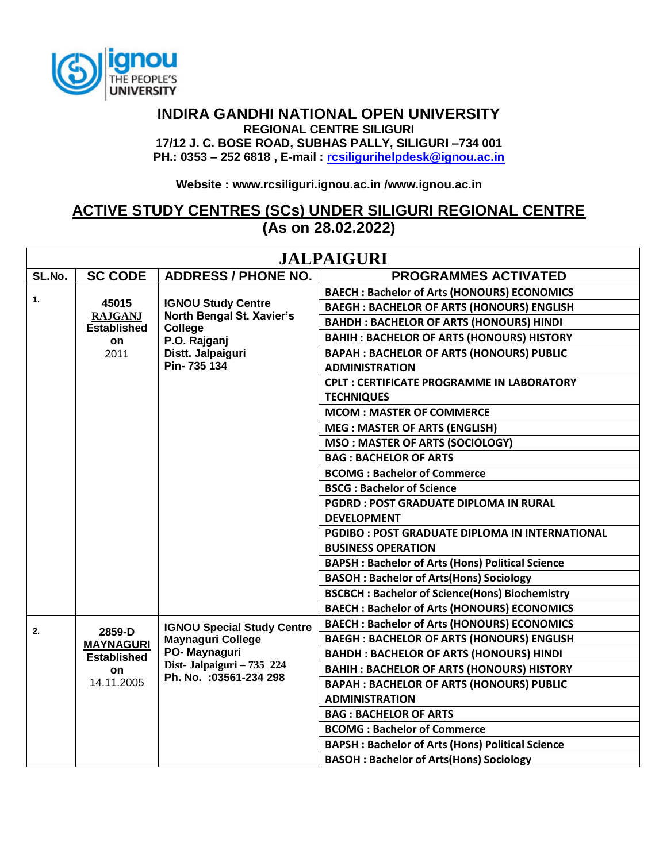

## **INDIRA GANDHI NATIONAL OPEN UNIVERSITY REGIONAL CENTRE SILIGURI 17/12 J. C. BOSE ROAD, SUBHAS PALLY, SILIGURI –734 001 PH.: 0353 – 252 6818 , E-mail : [rcsiligurihelpdesk@ignou.ac.in](mailto:rcsiligurihelpdesk@ignou.ac.in)**

**Website : [www.rcsiliguri.ignou.ac.in](http://www.rcsiliguri.ignou.ac.in/) /www.ignou.ac.in**

## **ACTIVE STUDY CENTRES (SCs) UNDER SILIGURI REGIONAL CENTRE (As on 28.02.2022)**

| <b>JALPAIGURI</b> |                                             |                                                                                                  |                                                         |  |
|-------------------|---------------------------------------------|--------------------------------------------------------------------------------------------------|---------------------------------------------------------|--|
| SL.No.            | <b>SC CODE</b>                              | <b>ADDRESS / PHONE NO.</b>                                                                       | <b>PROGRAMMES ACTIVATED</b>                             |  |
| 1.                | 45015<br><b>IGNOU Study Centre</b>          | <b>BAECH: Bachelor of Arts (HONOURS) ECONOMICS</b>                                               |                                                         |  |
|                   |                                             | <b>BAEGH: BACHELOR OF ARTS (HONOURS) ENGLISH</b>                                                 |                                                         |  |
|                   | <b>RAJGANJ</b><br><b>Established</b>        | North Bengal St. Xavier's<br>College                                                             | <b>BAHDH: BACHELOR OF ARTS (HONOURS) HINDI</b>          |  |
|                   | on                                          | P.O. Rajganj                                                                                     | <b>BAHIH: BACHELOR OF ARTS (HONOURS) HISTORY</b>        |  |
|                   | 2011                                        | Distt. Jalpaiguri                                                                                | <b>BAPAH: BACHELOR OF ARTS (HONOURS) PUBLIC</b>         |  |
|                   |                                             | Pin-735 134                                                                                      | <b>ADMINISTRATION</b>                                   |  |
|                   |                                             |                                                                                                  | <b>CPLT: CERTIFICATE PROGRAMME IN LABORATORY</b>        |  |
|                   |                                             |                                                                                                  | <b>TECHNIQUES</b>                                       |  |
|                   |                                             |                                                                                                  | <b>MCOM: MASTER OF COMMERCE</b>                         |  |
|                   |                                             |                                                                                                  | <b>MEG: MASTER OF ARTS (ENGLISH)</b>                    |  |
|                   |                                             |                                                                                                  | <b>MSO: MASTER OF ARTS (SOCIOLOGY)</b>                  |  |
|                   |                                             |                                                                                                  | <b>BAG: BACHELOR OF ARTS</b>                            |  |
|                   |                                             |                                                                                                  | <b>BCOMG: Bachelor of Commerce</b>                      |  |
|                   |                                             |                                                                                                  | <b>BSCG: Bachelor of Science</b>                        |  |
|                   |                                             |                                                                                                  | <b>PGDRD: POST GRADUATE DIPLOMA IN RURAL</b>            |  |
|                   |                                             |                                                                                                  | <b>DEVELOPMENT</b>                                      |  |
|                   |                                             |                                                                                                  | <b>PGDIBO : POST GRADUATE DIPLOMA IN INTERNATIONAL</b>  |  |
|                   |                                             |                                                                                                  | <b>BUSINESS OPERATION</b>                               |  |
|                   |                                             |                                                                                                  | <b>BAPSH: Bachelor of Arts (Hons) Political Science</b> |  |
|                   |                                             |                                                                                                  | <b>BASOH: Bachelor of Arts(Hons) Sociology</b>          |  |
|                   |                                             |                                                                                                  | <b>BSCBCH: Bachelor of Science(Hons) Biochemistry</b>   |  |
|                   |                                             |                                                                                                  | <b>BAECH: Bachelor of Arts (HONOURS) ECONOMICS</b>      |  |
| 2.                | <b>IGNOU Special Study Centre</b><br>2859-D | <b>BAECH: Bachelor of Arts (HONOURS) ECONOMICS</b>                                               |                                                         |  |
|                   | <b>MAYNAGURI</b>                            | <b>Maynaguri College</b><br>PO-Maynaguri<br>Dist-Jalpaiguri - 735 224<br>Ph. No. : 03561-234 298 | <b>BAEGH: BACHELOR OF ARTS (HONOURS) ENGLISH</b>        |  |
|                   | <b>Established</b>                          |                                                                                                  | <b>BAHDH: BACHELOR OF ARTS (HONOURS) HINDI</b>          |  |
|                   | <b>on</b>                                   |                                                                                                  | <b>BAHIH: BACHELOR OF ARTS (HONOURS) HISTORY</b>        |  |
|                   | 14.11.2005                                  |                                                                                                  | <b>BAPAH: BACHELOR OF ARTS (HONOURS) PUBLIC</b>         |  |
|                   |                                             |                                                                                                  | <b>ADMINISTRATION</b>                                   |  |
|                   |                                             |                                                                                                  | <b>BAG: BACHELOR OF ARTS</b>                            |  |
|                   |                                             |                                                                                                  | <b>BCOMG: Bachelor of Commerce</b>                      |  |
|                   |                                             |                                                                                                  | <b>BAPSH: Bachelor of Arts (Hons) Political Science</b> |  |
|                   |                                             |                                                                                                  | <b>BASOH: Bachelor of Arts(Hons) Sociology</b>          |  |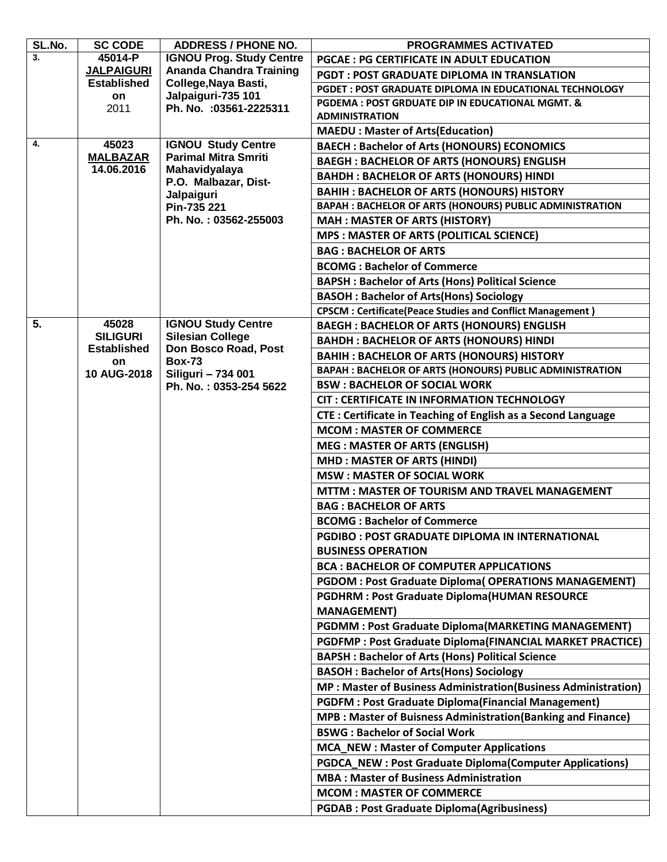| SL.No. | <b>SC CODE</b>                  | <b>ADDRESS / PHONE NO.</b>                                           | <b>PROGRAMMES ACTIVATED</b>                                         |
|--------|---------------------------------|----------------------------------------------------------------------|---------------------------------------------------------------------|
| 3.     | 45014-P                         | <b>IGNOU Prog. Study Centre</b>                                      | <b>PGCAE: PG CERTIFICATE IN ADULT EDUCATION</b>                     |
|        | <b>JALPAIGURI</b>               | <b>Ananda Chandra Training</b>                                       | <b>PGDT: POST GRADUATE DIPLOMA IN TRANSLATION</b>                   |
|        | <b>Established</b>              | College, Naya Basti,                                                 | PGDET: POST GRADUATE DIPLOMA IN EDUCATIONAL TECHNOLOGY              |
|        | on<br>2011                      | Jalpaiguri-735 101<br>Ph. No. : 03561-2225311                        | PGDEMA: POST GRDUATE DIP IN EDUCATIONAL MGMT. &                     |
|        |                                 |                                                                      | <b>ADMINISTRATION</b>                                               |
|        |                                 |                                                                      | <b>MAEDU: Master of Arts(Education)</b>                             |
| 4.     | 45023                           | <b>IGNOU Study Centre</b>                                            | <b>BAECH: Bachelor of Arts (HONOURS) ECONOMICS</b>                  |
|        | <b>MALBAZAR</b><br>14.06.2016   | <b>Parimal Mitra Smriti</b><br>Mahavidyalaya<br>P.O. Malbazar, Dist- | <b>BAEGH: BACHELOR OF ARTS (HONOURS) ENGLISH</b>                    |
|        |                                 |                                                                      | <b>BAHDH: BACHELOR OF ARTS (HONOURS) HINDI</b>                      |
|        |                                 | Jalpaiguri                                                           | <b>BAHIH: BACHELOR OF ARTS (HONOURS) HISTORY</b>                    |
|        |                                 | Pin-735 221                                                          | BAPAH : BACHELOR OF ARTS (HONOURS) PUBLIC ADMINISTRATION            |
|        |                                 | Ph. No.: 03562-255003                                                | <b>MAH: MASTER OF ARTS (HISTORY)</b>                                |
|        |                                 |                                                                      | <b>MPS : MASTER OF ARTS (POLITICAL SCIENCE)</b>                     |
|        |                                 |                                                                      | <b>BAG: BACHELOR OF ARTS</b>                                        |
|        |                                 |                                                                      | <b>BCOMG: Bachelor of Commerce</b>                                  |
|        |                                 |                                                                      | <b>BAPSH: Bachelor of Arts (Hons) Political Science</b>             |
|        |                                 |                                                                      | <b>BASOH: Bachelor of Arts(Hons) Sociology</b>                      |
|        |                                 |                                                                      | <b>CPSCM: Certificate(Peace Studies and Conflict Management)</b>    |
| 5.     | 45028                           | <b>IGNOU Study Centre</b>                                            | <b>BAEGH: BACHELOR OF ARTS (HONOURS) ENGLISH</b>                    |
|        | <b>SILIGURI</b>                 | <b>Silesian College</b>                                              | <b>BAHDH: BACHELOR OF ARTS (HONOURS) HINDI</b>                      |
|        | <b>Established</b><br><b>on</b> | Don Bosco Road, Post<br><b>Box-73</b>                                | <b>BAHIH: BACHELOR OF ARTS (HONOURS) HISTORY</b>                    |
|        | <b>10 AUG-2018</b>              | Siliguri - 734 001                                                   | BAPAH : BACHELOR OF ARTS (HONOURS) PUBLIC ADMINISTRATION            |
|        |                                 | Ph. No.: 0353-254 5622                                               | <b>BSW: BACHELOR OF SOCIAL WORK</b>                                 |
|        |                                 |                                                                      | <b>CIT : CERTIFICATE IN INFORMATION TECHNOLOGY</b>                  |
|        |                                 |                                                                      | <b>CTE: Certificate in Teaching of English as a Second Language</b> |
|        |                                 |                                                                      | <b>MCOM: MASTER OF COMMERCE</b>                                     |
|        |                                 |                                                                      | <b>MEG: MASTER OF ARTS (ENGLISH)</b>                                |
|        |                                 |                                                                      | <b>MHD: MASTER OF ARTS (HINDI)</b>                                  |
|        |                                 |                                                                      | <b>MSW: MASTER OF SOCIAL WORK</b>                                   |
|        |                                 |                                                                      | MTTM: MASTER OF TOURISM AND TRAVEL MANAGEMENT                       |
|        |                                 |                                                                      | <b>BAG: BACHELOR OF ARTS</b>                                        |
|        |                                 |                                                                      | <b>BCOMG: Bachelor of Commerce</b>                                  |
|        |                                 |                                                                      | <b>PGDIBO: POST GRADUATE DIPLOMA IN INTERNATIONAL</b>               |
|        |                                 |                                                                      | <b>BUSINESS OPERATION</b>                                           |
|        |                                 |                                                                      | <b>BCA: BACHELOR OF COMPUTER APPLICATIONS</b>                       |
|        |                                 |                                                                      | <b>PGDOM: Post Graduate Diploma( OPERATIONS MANAGEMENT)</b>         |
|        |                                 |                                                                      | <b>PGDHRM: Post Graduate Diploma(HUMAN RESOURCE</b>                 |
|        |                                 |                                                                      | <b>MANAGEMENT)</b>                                                  |
|        |                                 |                                                                      | <b>PGDMM: Post Graduate Diploma (MARKETING MANAGEMENT)</b>          |
|        |                                 |                                                                      | PGDFMP : Post Graduate Diploma(FINANCIAL MARKET PRACTICE)           |
|        |                                 |                                                                      | <b>BAPSH: Bachelor of Arts (Hons) Political Science</b>             |
|        |                                 | <b>BASOH: Bachelor of Arts(Hons) Sociology</b>                       |                                                                     |
|        |                                 |                                                                      | MP : Master of Business Administration(Business Administration)     |
|        |                                 |                                                                      | <b>PGDFM: Post Graduate Diploma(Financial Management)</b>           |
|        |                                 | <b>MPB : Master of Buisness Administration (Banking and Finance)</b> |                                                                     |
|        |                                 | <b>BSWG: Bachelor of Social Work</b>                                 |                                                                     |
|        |                                 |                                                                      | <b>MCA_NEW: Master of Computer Applications</b>                     |
|        |                                 |                                                                      | <b>PGDCA_NEW: Post Graduate Diploma(Computer Applications)</b>      |
|        |                                 | <b>MBA: Master of Business Administration</b>                        |                                                                     |
|        |                                 |                                                                      | <b>MCOM: MASTER OF COMMERCE</b>                                     |
|        |                                 |                                                                      |                                                                     |
|        |                                 |                                                                      | <b>PGDAB : Post Graduate Diploma (Agribusiness)</b>                 |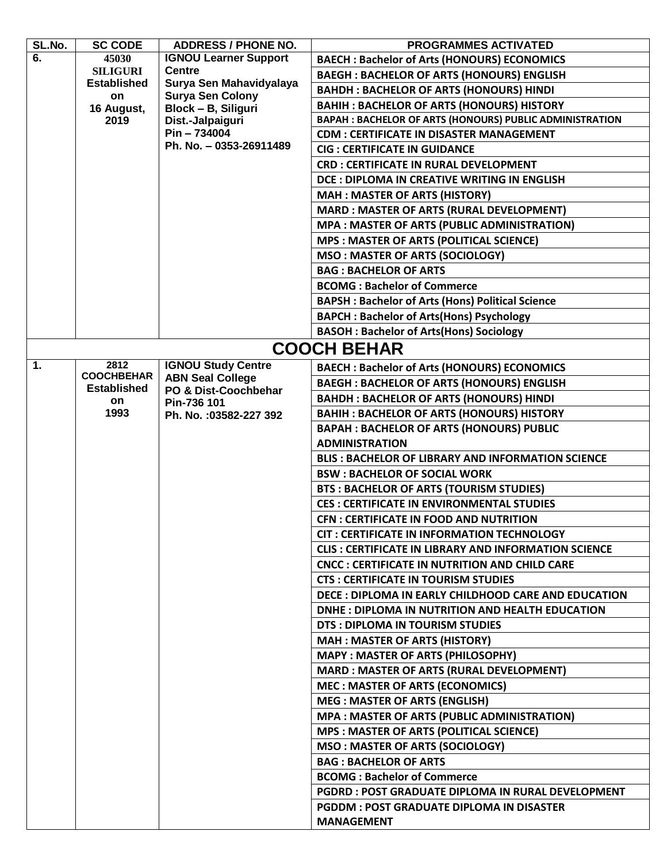| SL.No. | <b>SC CODE</b>           | <b>ADDRESS / PHONE NO.</b>                         | <b>PROGRAMMES ACTIVATED</b>                                 |
|--------|--------------------------|----------------------------------------------------|-------------------------------------------------------------|
| 6.     | 45030                    | <b>IGNOU Learner Support</b>                       | <b>BAECH: Bachelor of Arts (HONOURS) ECONOMICS</b>          |
|        | <b>SILIGURI</b>          | <b>Centre</b>                                      | <b>BAEGH: BACHELOR OF ARTS (HONOURS) ENGLISH</b>            |
|        | <b>Established</b><br>on | Surya Sen Mahavidyalaya<br><b>Surya Sen Colony</b> | <b>BAHDH: BACHELOR OF ARTS (HONOURS) HINDI</b>              |
|        | 16 August,               | Block - B, Siliguri                                | <b>BAHIH: BACHELOR OF ARTS (HONOURS) HISTORY</b>            |
|        | 2019                     | Dist.-Jalpaiguri                                   | BAPAH : BACHELOR OF ARTS (HONOURS) PUBLIC ADMINISTRATION    |
|        |                          | Pin-734004                                         | <b>CDM: CERTIFICATE IN DISASTER MANAGEMENT</b>              |
|        |                          | Ph. No. - 0353-26911489                            | <b>CIG: CERTIFICATE IN GUIDANCE</b>                         |
|        |                          |                                                    | <b>CRD : CERTIFICATE IN RURAL DEVELOPMENT</b>               |
|        |                          |                                                    | DCE: DIPLOMA IN CREATIVE WRITING IN ENGLISH                 |
|        |                          |                                                    | <b>MAH: MASTER OF ARTS (HISTORY)</b>                        |
|        |                          |                                                    | <b>MARD: MASTER OF ARTS (RURAL DEVELOPMENT)</b>             |
|        |                          |                                                    | <b>MPA: MASTER OF ARTS (PUBLIC ADMINISTRATION)</b>          |
|        |                          |                                                    | <b>MPS : MASTER OF ARTS (POLITICAL SCIENCE)</b>             |
|        |                          |                                                    | <b>MSO: MASTER OF ARTS (SOCIOLOGY)</b>                      |
|        |                          |                                                    | <b>BAG: BACHELOR OF ARTS</b>                                |
|        |                          |                                                    | <b>BCOMG: Bachelor of Commerce</b>                          |
|        |                          |                                                    | <b>BAPSH: Bachelor of Arts (Hons) Political Science</b>     |
|        |                          |                                                    | <b>BAPCH: Bachelor of Arts(Hons) Psychology</b>             |
|        |                          |                                                    | <b>BASOH: Bachelor of Arts(Hons) Sociology</b>              |
|        |                          |                                                    | <b>COOCH BEHAR</b>                                          |
| 1.     | 2812                     | <b>IGNOU Study Centre</b>                          | <b>BAECH: Bachelor of Arts (HONOURS) ECONOMICS</b>          |
|        | <b>COOCHBEHAR</b>        | <b>ABN Seal College</b>                            | <b>BAEGH: BACHELOR OF ARTS (HONOURS) ENGLISH</b>            |
|        | <b>Established</b><br>on | PO & Dist-Coochbehar                               | <b>BAHDH: BACHELOR OF ARTS (HONOURS) HINDI</b>              |
|        | 1993                     | Pin-736 101<br>Ph. No. : 03582-227 392             | <b>BAHIH: BACHELOR OF ARTS (HONOURS) HISTORY</b>            |
|        |                          |                                                    | <b>BAPAH : BACHELOR OF ARTS (HONOURS) PUBLIC</b>            |
|        |                          |                                                    | <b>ADMINISTRATION</b>                                       |
|        |                          |                                                    | <b>BLIS: BACHELOR OF LIBRARY AND INFORMATION SCIENCE</b>    |
|        |                          |                                                    | <b>BSW: BACHELOR OF SOCIAL WORK</b>                         |
|        |                          |                                                    | <b>BTS: BACHELOR OF ARTS (TOURISM STUDIES)</b>              |
|        |                          |                                                    | <b>CES: CERTIFICATE IN ENVIRONMENTAL STUDIES</b>            |
|        |                          |                                                    | <b>CFN: CERTIFICATE IN FOOD AND NUTRITION</b>               |
|        |                          |                                                    | <b>CIT: CERTIFICATE IN INFORMATION TECHNOLOGY</b>           |
|        |                          |                                                    | <b>CLIS: CERTIFICATE IN LIBRARY AND INFORMATION SCIENCE</b> |
|        |                          |                                                    | CNCC : CERTIFICATE IN NUTRITION AND CHILD CARE              |
|        |                          |                                                    | <b>CTS: CERTIFICATE IN TOURISM STUDIES</b>                  |
|        |                          |                                                    | DECE : DIPLOMA IN EARLY CHILDHOOD CARE AND EDUCATION        |
|        |                          |                                                    | DNHE: DIPLOMA IN NUTRITION AND HEALTH EDUCATION             |
|        |                          |                                                    | DTS: DIPLOMA IN TOURISM STUDIES                             |
|        |                          |                                                    | <b>MAH: MASTER OF ARTS (HISTORY)</b>                        |
|        |                          |                                                    | <b>MAPY: MASTER OF ARTS (PHILOSOPHY)</b>                    |
|        |                          |                                                    | <b>MARD: MASTER OF ARTS (RURAL DEVELOPMENT)</b>             |
|        |                          |                                                    | <b>MEC: MASTER OF ARTS (ECONOMICS)</b>                      |
|        |                          |                                                    | <b>MEG: MASTER OF ARTS (ENGLISH)</b>                        |
|        |                          |                                                    | <b>MPA: MASTER OF ARTS (PUBLIC ADMINISTRATION)</b>          |
|        |                          |                                                    | <b>MPS: MASTER OF ARTS (POLITICAL SCIENCE)</b>              |
|        |                          |                                                    | <b>MSO: MASTER OF ARTS (SOCIOLOGY)</b>                      |
|        |                          |                                                    | <b>BAG: BACHELOR OF ARTS</b>                                |
|        |                          |                                                    | <b>BCOMG: Bachelor of Commerce</b>                          |
|        |                          |                                                    | <b>PGDRD: POST GRADUATE DIPLOMA IN RURAL DEVELOPMENT</b>    |
|        |                          |                                                    | <b>PGDDM: POST GRADUATE DIPLOMA IN DISASTER</b>             |
|        |                          |                                                    | <b>MANAGEMENT</b>                                           |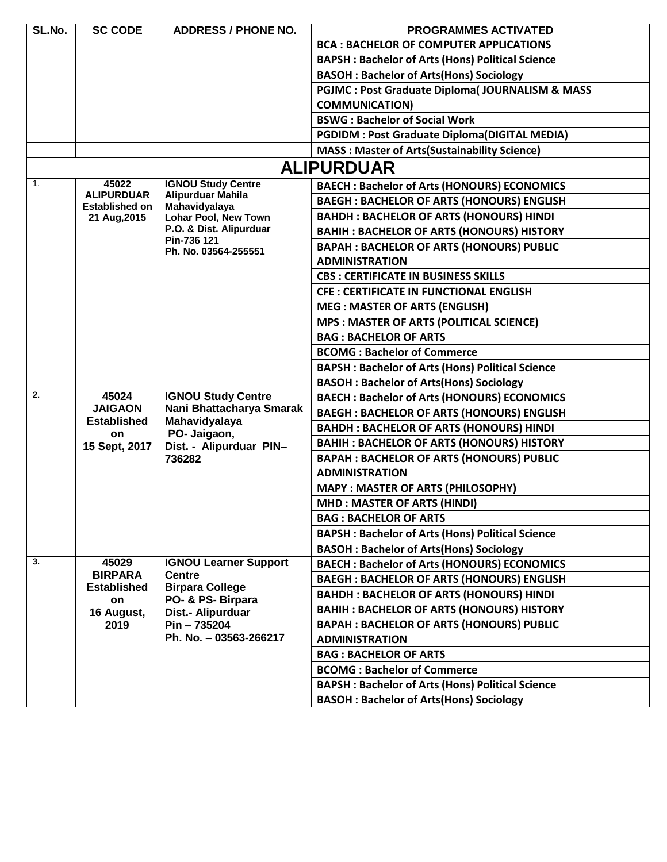| SL.No. | <b>SC CODE</b>                                          | <b>ADDRESS / PHONE NO.</b>              | <b>PROGRAMMES ACTIVATED</b>                                |
|--------|---------------------------------------------------------|-----------------------------------------|------------------------------------------------------------|
|        |                                                         |                                         | <b>BCA: BACHELOR OF COMPUTER APPLICATIONS</b>              |
|        |                                                         |                                         | <b>BAPSH: Bachelor of Arts (Hons) Political Science</b>    |
|        |                                                         |                                         | <b>BASOH: Bachelor of Arts(Hons) Sociology</b>             |
|        |                                                         |                                         | <b>PGJMC: Post Graduate Diploma( JOURNALISM &amp; MASS</b> |
|        |                                                         |                                         | <b>COMMUNICATION)</b>                                      |
|        |                                                         |                                         | <b>BSWG: Bachelor of Social Work</b>                       |
|        |                                                         |                                         | <b>PGDIDM : Post Graduate Diploma(DIGITAL MEDIA)</b>       |
|        |                                                         |                                         | <b>MASS: Master of Arts(Sustainability Science)</b>        |
|        |                                                         |                                         | <b>ALIPURDUAR</b>                                          |
| 1.     | 45022                                                   | <b>IGNOU Study Centre</b>               | <b>BAECH: Bachelor of Arts (HONOURS) ECONOMICS</b>         |
|        | <b>ALIPURDUAR</b><br><b>Established on</b>              | Alipurduar Mahila<br>Mahavidyalaya      | <b>BAEGH: BACHELOR OF ARTS (HONOURS) ENGLISH</b>           |
|        | 21 Aug, 2015                                            | <b>Lohar Pool, New Town</b>             | <b>BAHDH : BACHELOR OF ARTS (HONOURS) HINDI</b>            |
|        |                                                         | P.O. & Dist. Alipurduar                 | <b>BAHIH: BACHELOR OF ARTS (HONOURS) HISTORY</b>           |
|        |                                                         | Pin-736 121<br>Ph. No. 03564-255551     | <b>BAPAH: BACHELOR OF ARTS (HONOURS) PUBLIC</b>            |
|        |                                                         |                                         | <b>ADMINISTRATION</b>                                      |
|        |                                                         |                                         | <b>CBS: CERTIFICATE IN BUSINESS SKILLS</b>                 |
|        |                                                         |                                         | <b>CFE: CERTIFICATE IN FUNCTIONAL ENGLISH</b>              |
|        |                                                         |                                         | <b>MEG: MASTER OF ARTS (ENGLISH)</b>                       |
|        |                                                         |                                         | <b>MPS : MASTER OF ARTS (POLITICAL SCIENCE)</b>            |
|        |                                                         |                                         | <b>BAG: BACHELOR OF ARTS</b>                               |
|        |                                                         |                                         | <b>BCOMG: Bachelor of Commerce</b>                         |
|        | <b>BAPSH: Bachelor of Arts (Hons) Political Science</b> |                                         |                                                            |
|        |                                                         |                                         | <b>BASOH: Bachelor of Arts(Hons) Sociology</b>             |
| 2.     | 45024                                                   | <b>IGNOU Study Centre</b>               | <b>BAECH: Bachelor of Arts (HONOURS) ECONOMICS</b>         |
|        | <b>JAIGAON</b>                                          | Nani Bhattacharya Smarak                | <b>BAEGH: BACHELOR OF ARTS (HONOURS) ENGLISH</b>           |
|        | <b>Established</b><br>on                                | Mahavidyalaya<br>PO- Jaigaon,           | <b>BAHDH: BACHELOR OF ARTS (HONOURS) HINDI</b>             |
|        | 15 Sept, 2017                                           | Dist. - Alipurduar PIN-                 | <b>BAHIH: BACHELOR OF ARTS (HONOURS) HISTORY</b>           |
|        |                                                         | 736282                                  | <b>BAPAH: BACHELOR OF ARTS (HONOURS) PUBLIC</b>            |
|        |                                                         |                                         | <b>ADMINISTRATION</b>                                      |
|        |                                                         |                                         | <b>MAPY: MASTER OF ARTS (PHILOSOPHY)</b>                   |
|        |                                                         |                                         | <b>MHD: MASTER OF ARTS (HINDI)</b>                         |
|        |                                                         |                                         | <b>BAG: BACHELOR OF ARTS</b>                               |
|        |                                                         |                                         | <b>BAPSH: Bachelor of Arts (Hons) Political Science</b>    |
|        |                                                         |                                         | <b>BASOH: Bachelor of Arts(Hons) Sociology</b>             |
| 3.     | 45029                                                   | <b>IGNOU Learner Support</b>            | <b>BAECH: Bachelor of Arts (HONOURS) ECONOMICS</b>         |
|        | <b>BIRPARA</b><br><b>Established</b>                    | <b>Centre</b><br><b>Birpara College</b> | <b>BAEGH: BACHELOR OF ARTS (HONOURS) ENGLISH</b>           |
|        | on                                                      | PO- & PS- Birpara                       | <b>BAHDH: BACHELOR OF ARTS (HONOURS) HINDI</b>             |
|        | 16 August,                                              | Dist.- Alipurduar                       | <b>BAHIH: BACHELOR OF ARTS (HONOURS) HISTORY</b>           |
|        | 2019                                                    | Pin-735204                              | <b>BAPAH : BACHELOR OF ARTS (HONOURS) PUBLIC</b>           |
|        |                                                         | Ph. No. - 03563-266217                  | <b>ADMINISTRATION</b>                                      |
|        |                                                         |                                         | <b>BAG: BACHELOR OF ARTS</b>                               |
|        |                                                         |                                         | <b>BCOMG: Bachelor of Commerce</b>                         |
|        |                                                         |                                         | <b>BAPSH: Bachelor of Arts (Hons) Political Science</b>    |
|        |                                                         |                                         | <b>BASOH: Bachelor of Arts(Hons) Sociology</b>             |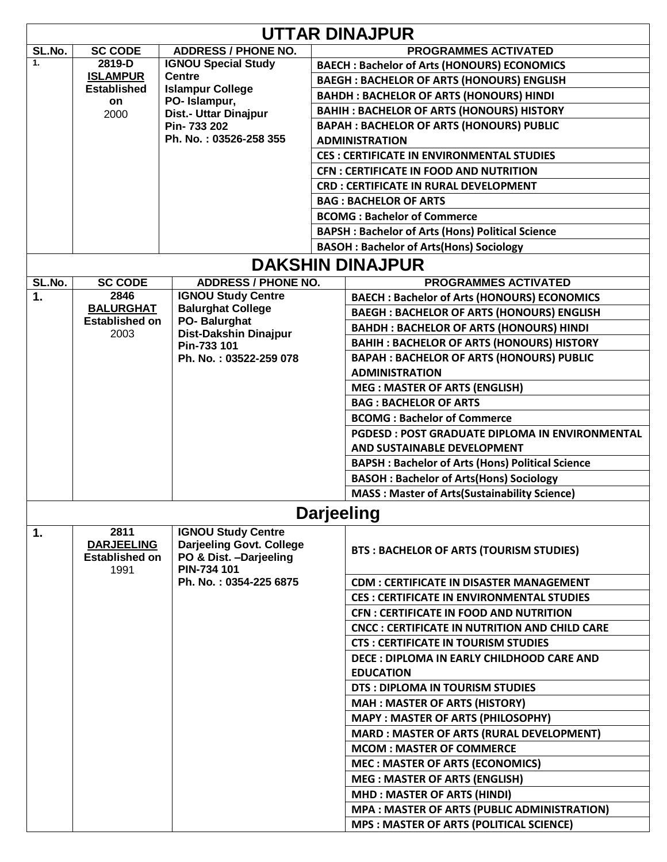| <b>UTTAR DINAJPUR</b> |                                                            |                                                                                                 |  |                                                         |  |
|-----------------------|------------------------------------------------------------|-------------------------------------------------------------------------------------------------|--|---------------------------------------------------------|--|
| SL.No.                | <b>SC CODE</b>                                             | <b>ADDRESS / PHONE NO.</b>                                                                      |  | <b>PROGRAMMES ACTIVATED</b>                             |  |
| 1.                    | 2819-D                                                     | <b>IGNOU Special Study</b>                                                                      |  | <b>BAECH: Bachelor of Arts (HONOURS) ECONOMICS</b>      |  |
|                       | <b>ISLAMPUR</b>                                            | <b>Centre</b>                                                                                   |  | <b>BAEGH: BACHELOR OF ARTS (HONOURS) ENGLISH</b>        |  |
|                       | <b>Established</b>                                         | <b>Islampur College</b><br>PO-Islampur,                                                         |  | <b>BAHDH: BACHELOR OF ARTS (HONOURS) HINDI</b>          |  |
|                       | on<br>2000                                                 | Dist.- Uttar Dinajpur                                                                           |  | <b>BAHIH: BACHELOR OF ARTS (HONOURS) HISTORY</b>        |  |
|                       |                                                            | Pin-733 202                                                                                     |  | <b>BAPAH: BACHELOR OF ARTS (HONOURS) PUBLIC</b>         |  |
|                       |                                                            | Ph. No.: 03526-258 355                                                                          |  | <b>ADMINISTRATION</b>                                   |  |
|                       |                                                            |                                                                                                 |  | <b>CES: CERTIFICATE IN ENVIRONMENTAL STUDIES</b>        |  |
|                       |                                                            |                                                                                                 |  | <b>CFN: CERTIFICATE IN FOOD AND NUTRITION</b>           |  |
|                       |                                                            |                                                                                                 |  | <b>CRD: CERTIFICATE IN RURAL DEVELOPMENT</b>            |  |
|                       |                                                            |                                                                                                 |  | <b>BAG: BACHELOR OF ARTS</b>                            |  |
|                       |                                                            |                                                                                                 |  | <b>BCOMG: Bachelor of Commerce</b>                      |  |
|                       |                                                            |                                                                                                 |  | <b>BAPSH: Bachelor of Arts (Hons) Political Science</b> |  |
|                       |                                                            |                                                                                                 |  | <b>BASOH: Bachelor of Arts(Hons) Sociology</b>          |  |
|                       |                                                            |                                                                                                 |  | <b>DAKSHIN DINAJPUR</b>                                 |  |
| SL.No.                | <b>SC CODE</b>                                             | <b>ADDRESS / PHONE NO.</b>                                                                      |  | <b>PROGRAMMES ACTIVATED</b>                             |  |
| 1.                    | 2846                                                       | <b>IGNOU Study Centre</b>                                                                       |  | <b>BAECH: Bachelor of Arts (HONOURS) ECONOMICS</b>      |  |
|                       | <b>BALURGHAT</b>                                           | <b>Balurghat College</b>                                                                        |  | <b>BAEGH: BACHELOR OF ARTS (HONOURS) ENGLISH</b>        |  |
|                       | <b>Established on</b>                                      | PO-Balurghat                                                                                    |  | <b>BAHDH: BACHELOR OF ARTS (HONOURS) HINDI</b>          |  |
|                       | 2003                                                       | <b>Dist-Dakshin Dinajpur</b>                                                                    |  |                                                         |  |
|                       |                                                            | Pin-733 101                                                                                     |  | <b>BAHIH: BACHELOR OF ARTS (HONOURS) HISTORY</b>        |  |
|                       |                                                            | Ph. No.: 03522-259 078                                                                          |  | <b>BAPAH: BACHELOR OF ARTS (HONOURS) PUBLIC</b>         |  |
|                       |                                                            |                                                                                                 |  | <b>ADMINISTRATION</b>                                   |  |
|                       |                                                            |                                                                                                 |  | <b>MEG: MASTER OF ARTS (ENGLISH)</b>                    |  |
|                       |                                                            |                                                                                                 |  | <b>BAG: BACHELOR OF ARTS</b>                            |  |
|                       |                                                            |                                                                                                 |  | <b>BCOMG: Bachelor of Commerce</b>                      |  |
|                       |                                                            |                                                                                                 |  | <b>PGDESD: POST GRADUATE DIPLOMA IN ENVIRONMENTAL</b>   |  |
|                       |                                                            |                                                                                                 |  | AND SUSTAINABLE DEVELOPMENT                             |  |
|                       |                                                            |                                                                                                 |  | <b>BAPSH: Bachelor of Arts (Hons) Political Science</b> |  |
|                       |                                                            |                                                                                                 |  | <b>BASOH: Bachelor of Arts(Hons) Sociology</b>          |  |
|                       |                                                            |                                                                                                 |  | <b>MASS: Master of Arts (Sustainability Science)</b>    |  |
| <b>Darjeeling</b>     |                                                            |                                                                                                 |  |                                                         |  |
| 1.                    | 2811<br><b>DARJEELING</b><br><b>Established on</b><br>1991 | <b>IGNOU Study Centre</b><br>Darjeeling Govt. College<br>PO & Dist. - Darjeeling<br>PIN-734 101 |  | <b>BTS: BACHELOR OF ARTS (TOURISM STUDIES)</b>          |  |
|                       |                                                            | Ph. No.: 0354-225 6875                                                                          |  | <b>CDM: CERTIFICATE IN DISASTER MANAGEMENT</b>          |  |
|                       |                                                            |                                                                                                 |  | <b>CES : CERTIFICATE IN ENVIRONMENTAL STUDIES</b>       |  |
|                       |                                                            |                                                                                                 |  | <b>CFN: CERTIFICATE IN FOOD AND NUTRITION</b>           |  |
|                       |                                                            |                                                                                                 |  | <b>CNCC: CERTIFICATE IN NUTRITION AND CHILD CARE</b>    |  |
|                       |                                                            |                                                                                                 |  | <b>CTS: CERTIFICATE IN TOURISM STUDIES</b>              |  |
|                       |                                                            |                                                                                                 |  | DECE : DIPLOMA IN EARLY CHILDHOOD CARE AND              |  |
|                       |                                                            |                                                                                                 |  | <b>EDUCATION</b>                                        |  |
|                       |                                                            |                                                                                                 |  | DTS : DIPLOMA IN TOURISM STUDIES                        |  |
|                       |                                                            |                                                                                                 |  | <b>MAH: MASTER OF ARTS (HISTORY)</b>                    |  |
|                       |                                                            |                                                                                                 |  | <b>MAPY: MASTER OF ARTS (PHILOSOPHY)</b>                |  |
|                       |                                                            |                                                                                                 |  | <b>MARD: MASTER OF ARTS (RURAL DEVELOPMENT)</b>         |  |
|                       |                                                            |                                                                                                 |  | <b>MCOM: MASTER OF COMMERCE</b>                         |  |
|                       |                                                            |                                                                                                 |  | <b>MEC: MASTER OF ARTS (ECONOMICS)</b>                  |  |
|                       |                                                            |                                                                                                 |  | <b>MEG: MASTER OF ARTS (ENGLISH)</b>                    |  |
|                       |                                                            |                                                                                                 |  | <b>MHD: MASTER OF ARTS (HINDI)</b>                      |  |
|                       |                                                            |                                                                                                 |  | <b>MPA: MASTER OF ARTS (PUBLIC ADMINISTRATION)</b>      |  |
|                       |                                                            |                                                                                                 |  | <b>MPS: MASTER OF ARTS (POLITICAL SCIENCE)</b>          |  |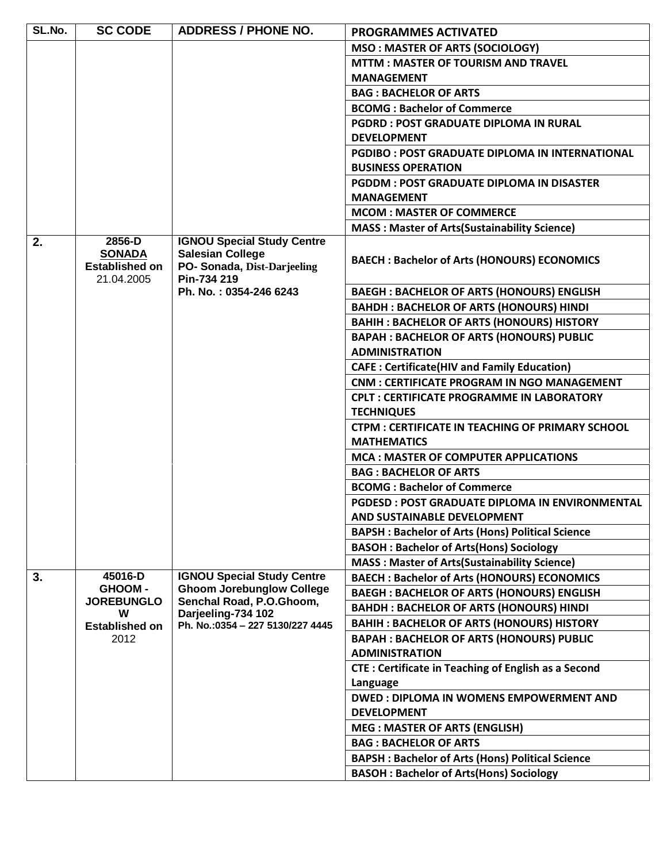| SL.No. | <b>SC CODE</b>                                                 | <b>ADDRESS / PHONE NO.</b>                                                                                 | <b>PROGRAMMES ACTIVATED</b>                                                                 |
|--------|----------------------------------------------------------------|------------------------------------------------------------------------------------------------------------|---------------------------------------------------------------------------------------------|
|        |                                                                |                                                                                                            | <b>MSO: MASTER OF ARTS (SOCIOLOGY)</b>                                                      |
|        |                                                                |                                                                                                            | <b>MTTM: MASTER OF TOURISM AND TRAVEL</b>                                                   |
|        |                                                                |                                                                                                            | <b>MANAGEMENT</b>                                                                           |
|        |                                                                |                                                                                                            | <b>BAG: BACHELOR OF ARTS</b>                                                                |
|        |                                                                |                                                                                                            | <b>BCOMG: Bachelor of Commerce</b>                                                          |
|        |                                                                |                                                                                                            | <b>PGDRD: POST GRADUATE DIPLOMA IN RURAL</b>                                                |
|        |                                                                |                                                                                                            | <b>DEVELOPMENT</b>                                                                          |
|        |                                                                |                                                                                                            | <b>PGDIBO: POST GRADUATE DIPLOMA IN INTERNATIONAL</b>                                       |
|        |                                                                |                                                                                                            | <b>BUSINESS OPERATION</b>                                                                   |
|        |                                                                |                                                                                                            | <b>PGDDM: POST GRADUATE DIPLOMA IN DISASTER</b>                                             |
|        |                                                                |                                                                                                            | <b>MANAGEMENT</b>                                                                           |
|        |                                                                |                                                                                                            | <b>MCOM: MASTER OF COMMERCE</b>                                                             |
|        |                                                                |                                                                                                            | <b>MASS: Master of Arts (Sustainability Science)</b>                                        |
| 2.     | 2856-D<br><b>SONADA</b><br><b>Established on</b><br>21.04.2005 | <b>IGNOU Special Study Centre</b><br><b>Salesian College</b><br>PO- Sonada, Dist-Darjeeling<br>Pin-734 219 | <b>BAECH: Bachelor of Arts (HONOURS) ECONOMICS</b>                                          |
|        |                                                                | Ph. No.: 0354-246 6243                                                                                     | <b>BAEGH: BACHELOR OF ARTS (HONOURS) ENGLISH</b>                                            |
|        |                                                                |                                                                                                            | <b>BAHDH: BACHELOR OF ARTS (HONOURS) HINDI</b>                                              |
|        |                                                                |                                                                                                            | <b>BAHIH: BACHELOR OF ARTS (HONOURS) HISTORY</b>                                            |
|        |                                                                |                                                                                                            | <b>BAPAH: BACHELOR OF ARTS (HONOURS) PUBLIC</b>                                             |
|        |                                                                |                                                                                                            | <b>ADMINISTRATION</b>                                                                       |
|        |                                                                |                                                                                                            | <b>CAFE: Certificate(HIV and Family Education)</b>                                          |
|        |                                                                |                                                                                                            | <b>CNM : CERTIFICATE PROGRAM IN NGO MANAGEMENT</b>                                          |
|        |                                                                |                                                                                                            | <b>CPLT: CERTIFICATE PROGRAMME IN LABORATORY</b>                                            |
|        |                                                                |                                                                                                            | <b>TECHNIQUES</b>                                                                           |
|        |                                                                |                                                                                                            | <b>CTPM: CERTIFICATE IN TEACHING OF PRIMARY SCHOOL</b>                                      |
|        |                                                                |                                                                                                            | <b>MATHEMATICS</b>                                                                          |
|        |                                                                |                                                                                                            | <b>MCA: MASTER OF COMPUTER APPLICATIONS</b>                                                 |
|        |                                                                |                                                                                                            | <b>BAG: BACHELOR OF ARTS</b>                                                                |
|        |                                                                |                                                                                                            | <b>BCOMG: Bachelor of Commerce</b>                                                          |
|        |                                                                |                                                                                                            | <b>PGDESD: POST GRADUATE DIPLOMA IN ENVIRONMENTAL</b><br><b>AND SUSTAINABLE DEVELOPMENT</b> |
|        |                                                                |                                                                                                            | <b>BAPSH: Bachelor of Arts (Hons) Political Science</b>                                     |
|        |                                                                |                                                                                                            | <b>BASOH: Bachelor of Arts(Hons) Sociology</b>                                              |
|        |                                                                |                                                                                                            | <b>MASS: Master of Arts(Sustainability Science)</b>                                         |
| 3.     | 45016-D                                                        | <b>IGNOU Special Study Centre</b>                                                                          | <b>BAECH: Bachelor of Arts (HONOURS) ECONOMICS</b>                                          |
|        | <b>GHOOM-</b>                                                  | <b>Ghoom Jorebunglow College</b>                                                                           | <b>BAEGH: BACHELOR OF ARTS (HONOURS) ENGLISH</b>                                            |
|        | <b>JOREBUNGLO</b><br>W                                         | Senchal Road, P.O.Ghoom,<br>Darjeeling-734 102                                                             | <b>BAHDH: BACHELOR OF ARTS (HONOURS) HINDI</b>                                              |
|        | <b>Established on</b>                                          | Ph. No.:0354 - 227 5130/227 4445                                                                           | <b>BAHIH: BACHELOR OF ARTS (HONOURS) HISTORY</b>                                            |
|        | 2012                                                           |                                                                                                            | <b>BAPAH : BACHELOR OF ARTS (HONOURS) PUBLIC</b>                                            |
|        |                                                                |                                                                                                            | <b>ADMINISTRATION</b>                                                                       |
|        |                                                                |                                                                                                            | <b>CTE: Certificate in Teaching of English as a Second</b>                                  |
|        |                                                                |                                                                                                            | Language                                                                                    |
|        |                                                                |                                                                                                            | <b>DWED: DIPLOMA IN WOMENS EMPOWERMENT AND</b>                                              |
|        |                                                                |                                                                                                            | <b>DEVELOPMENT</b>                                                                          |
|        |                                                                |                                                                                                            | <b>MEG: MASTER OF ARTS (ENGLISH)</b>                                                        |
|        |                                                                |                                                                                                            | <b>BAG: BACHELOR OF ARTS</b>                                                                |
|        |                                                                |                                                                                                            | <b>BAPSH: Bachelor of Arts (Hons) Political Science</b>                                     |
|        |                                                                |                                                                                                            | <b>BASOH: Bachelor of Arts(Hons) Sociology</b>                                              |